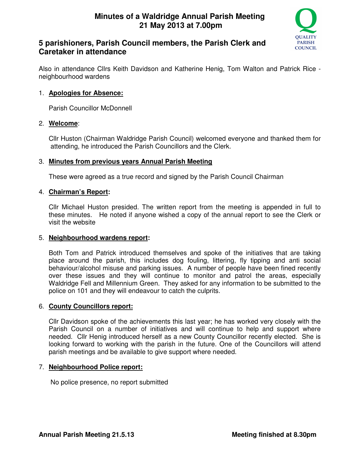

# **5 parishioners, Parish Council members, the Parish Clerk and Caretaker in attendance**

Also in attendance Cllrs Keith Davidson and Katherine Henig, Tom Walton and Patrick Rice neighbourhood wardens

## 1. **Apologies for Absence:**

Parish Councillor McDonnell

#### 2. **Welcome**:

Cllr Huston (Chairman Waldridge Parish Council) welcomed everyone and thanked them for attending, he introduced the Parish Councillors and the Clerk.

#### 3. **Minutes from previous years Annual Parish Meeting**

These were agreed as a true record and signed by the Parish Council Chairman

#### 4. **Chairman's Report:**

Cllr Michael Huston presided. The written report from the meeting is appended in full to these minutes. He noted if anyone wished a copy of the annual report to see the Clerk or visit the website

#### 5. **Neighbourhood wardens report:**

Both Tom and Patrick introduced themselves and spoke of the initiatives that are taking place around the parish, this includes dog fouling, littering, fly tipping and anti social behaviour/alcohol misuse and parking issues. A number of people have been fined recently over these issues and they will continue to monitor and patrol the areas, especially Waldridge Fell and Millennium Green. They asked for any information to be submitted to the police on 101 and they will endeavour to catch the culprits.

#### 6. **County Councillors report:**

Cllr Davidson spoke of the achievements this last year; he has worked very closely with the Parish Council on a number of initiatives and will continue to help and support where needed. Cllr Henig introduced herself as a new County Councillor recently elected. She is looking forward to working with the parish in the future. One of the Councillors will attend parish meetings and be available to give support where needed.

#### 7. **Neighbourhood Police report:**

No police presence, no report submitted